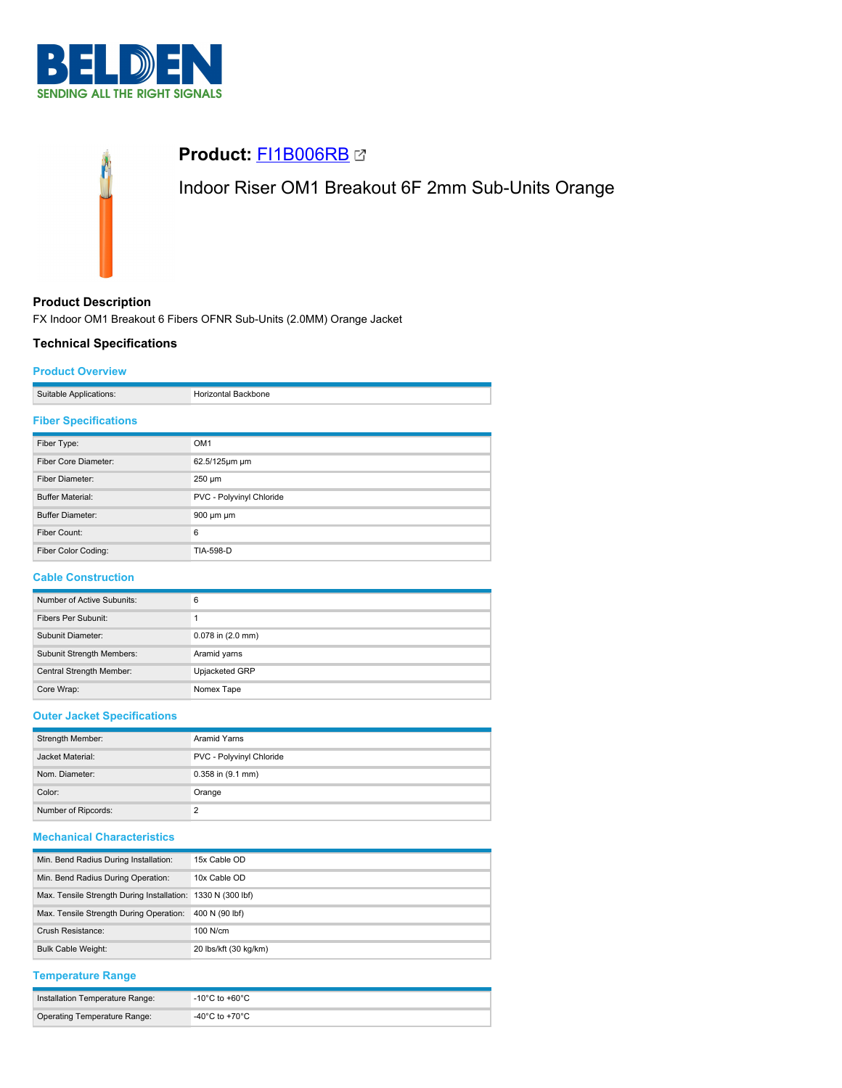

# **Product:** [FI1B006RB](https://catalog.belden.com/index.cfm?event=pd&p=PF_FI1B006RB&tab=downloads) Indoor Riser OM1 Breakout 6F 2mm Sub-Units Orange

# **Product Description**

FX Indoor OM1 Breakout 6 Fibers OFNR Sub-Units (2.0MM) Orange Jacket

## **Technical Specifications**

#### **Product Overview**

|               | ∺וונ |
|---------------|------|
| $-$ Ulliusis. |      |

#### **Fiber Specifications**

| Fiber Type:             | OM <sub>1</sub>          |
|-------------------------|--------------------------|
| Fiber Core Diameter:    | 62.5/125µm µm            |
| Fiber Diameter:         | $250 \mu m$              |
| <b>Buffer Material:</b> | PVC - Polyvinyl Chloride |
| <b>Buffer Diameter:</b> | $900 \mu m \mu m$        |
| Fiber Count:            | 6                        |
| Fiber Color Coding:     | TIA-598-D                |

## **Cable Construction**

| Number of Active Subunits: | 6                     |
|----------------------------|-----------------------|
| Fibers Per Subunit:        |                       |
| Subunit Diameter:          | $0.078$ in $(2.0$ mm) |
| Subunit Strength Members:  | Aramid yarns          |
| Central Strength Member:   | Upjacketed GRP        |
| Core Wrap:                 | Nomex Tape            |

## **Outer Jacket Specifications**

| Strength Member:    | Aramid Yarns             |  |
|---------------------|--------------------------|--|
| Jacket Material:    | PVC - Polyvinyl Chloride |  |
| Nom. Diameter:      | $0.358$ in $(9.1$ mm)    |  |
| Color:              | Orange                   |  |
| Number of Ripcords: | っ                        |  |

# **Mechanical Characteristics**

| Min. Bend Radius During Installation:                       | 15x Cable OD          |
|-------------------------------------------------------------|-----------------------|
| Min. Bend Radius During Operation:                          | 10x Cable OD          |
| Max. Tensile Strength During Installation: 1330 N (300 lbf) |                       |
| Max. Tensile Strength During Operation:                     | 400 N (90 lbf)        |
| Crush Resistance:                                           | $100$ N/cm            |
| <b>Bulk Cable Weight:</b>                                   | 20 lbs/kft (30 kg/km) |

## **Temperature Range**

| Installation Temperature Range: | $^{\circ}$ -10°C to +60°C $^{\circ}$    |
|---------------------------------|-----------------------------------------|
| Operating Temperature Range:    | $-40^{\circ}$ C to +70 $^{\circ}$ C $-$ |